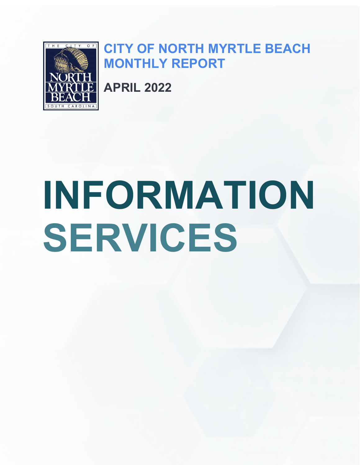

# **CITY OF NORTH MYRTLE BEACH MONTHLY REPORT**

**APRIL 2022**

# **INFORMATION SERVICES**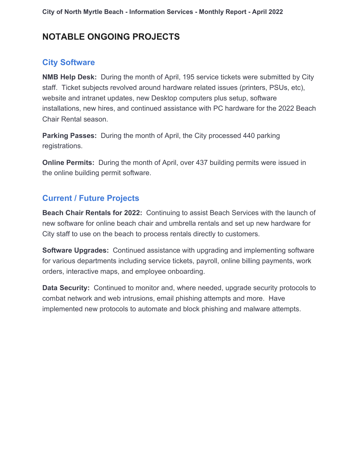# **NOTABLE ONGOING PROJECTS**

#### **City Software**

**NMB Help Desk:** During the month of April, 195 service tickets were submitted by City staff. Ticket subjects revolved around hardware related issues (printers, PSUs, etc), website and intranet updates, new Desktop computers plus setup, software installations, new hires, and continued assistance with PC hardware for the 2022 Beach Chair Rental season.

**Parking Passes:** During the month of April, the City processed 440 parking registrations.

**Online Permits:** During the month of April, over 437 building permits were issued in the online building permit software.

#### **Current / Future Projects**

**Beach Chair Rentals for 2022:** Continuing to assist Beach Services with the launch of new software for online beach chair and umbrella rentals and set up new hardware for City staff to use on the beach to process rentals directly to customers.

**Software Upgrades:** Continued assistance with upgrading and implementing software for various departments including service tickets, payroll, online billing payments, work orders, interactive maps, and employee onboarding.

**Data Security:** Continued to monitor and, where needed, upgrade security protocols to combat network and web intrusions, email phishing attempts and more. Have implemented new protocols to automate and block phishing and malware attempts.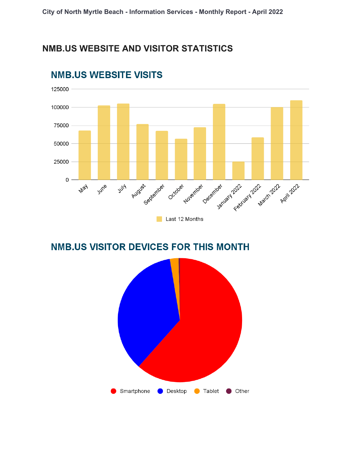#### **NMB.US WEBSITE AND VISITOR STATISTICS**



# **NMB.US WEBSITE VISITS**

# **NMB.US VISITOR DEVICES FOR THIS MONTH**